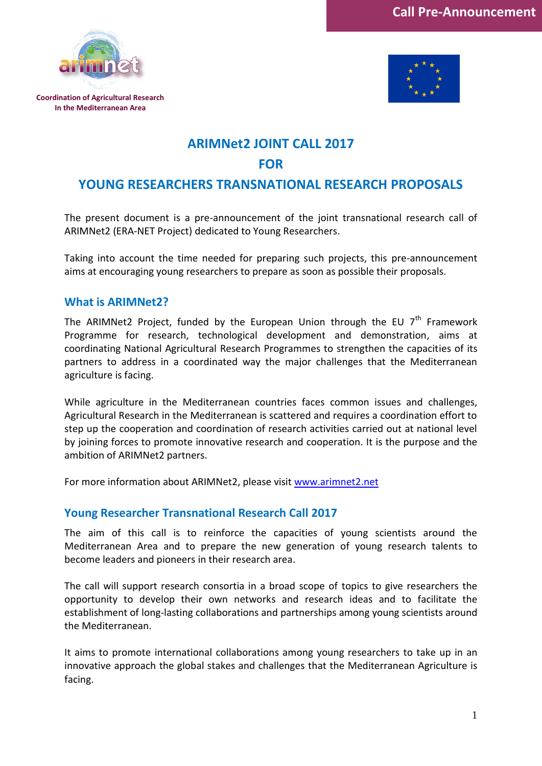





## **ARIMNet2 JOINT CALL 2017**

### **FOR**

# **YOUNG RESEARCHERS TRANSNATIONAL RESEARCH PROPOSALS**

The present document is a pre-announcement of the joint transnational research call of ARIMNet2 (ERA-NET Project) dedicated to Young Researchers.

Taking into account the time needed for preparing such projects, this pre-announcement aims at encouraging young researchers to prepare as soon as possible their proposals.

#### **What is ARIMNet2?**

The ARIMNet2 Project, funded by the European Union through the EU  $7<sup>th</sup>$  Framework Programme for research, technological development and demonstration, aims at coordinating National Agricultural Research Programmes to strengthen the capacities of its partners to address in a coordinated way the major challenges that the Mediterranean agriculture is facing.

While agriculture in the Mediterranean countries faces common issues and challenges, Agricultural Research in the Mediterranean is scattered and requires a coordination effort to step up the cooperation and coordination of research activities carried out at national level by joining forces to promote innovative research and cooperation. It is the purpose and the ambition of ARIMNet2 partners.

For more information about ARIMNet2, please visit [www.arimnet2.net](http://www.arimnet2.net/)

### **Young Researcher Transnational Research Call 2017**

The aim of this call is to reinforce the capacities of young scientists around the Mediterranean Area and to prepare the new generation of young research talents to become leaders and pioneers in their research area.

The call will support research consortia in a broad scope of topics to give researchers the opportunity to develop their own networks and research ideas and to facilitate the establishment of long-lasting collaborations and partnerships among young scientists around the Mediterranean.

It aims to promote international collaborations among young researchers to take up in an innovative approach the global stakes and challenges that the Mediterranean Agriculture is facing.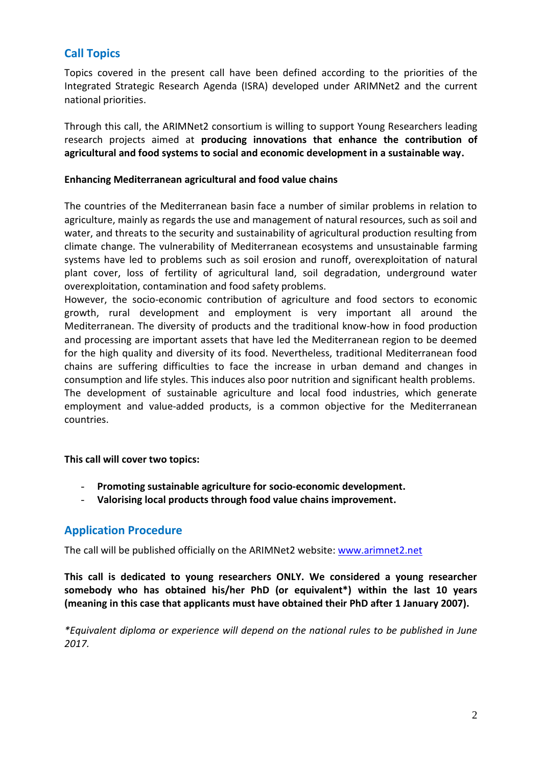### **Call Topics**

Topics covered in the present call have been defined according to the priorities of the Integrated Strategic Research Agenda (ISRA) developed under ARIMNet2 and the current national priorities.

Through this call, the ARIMNet2 consortium is willing to support Young Researchers leading research projects aimed at **producing innovations that enhance the contribution of agricultural and food systems to social and economic development in a sustainable way.**

#### **Enhancing Mediterranean agricultural and food value chains**

The countries of the Mediterranean basin face a number of similar problems in relation to agriculture, mainly as regards the use and management of natural resources, such as soil and water, and threats to the security and sustainability of agricultural production resulting from climate change. The vulnerability of Mediterranean ecosystems and unsustainable farming systems have led to problems such as soil erosion and runoff, overexploitation of natural plant cover, loss of fertility of agricultural land, soil degradation, underground water overexploitation, contamination and food safety problems.

However, the socio-economic contribution of agriculture and food sectors to economic growth, rural development and employment is very important all around the Mediterranean. The diversity of products and the traditional know-how in food production and processing are important assets that have led the Mediterranean region to be deemed for the high quality and diversity of its food. Nevertheless, traditional Mediterranean food chains are suffering difficulties to face the increase in urban demand and changes in consumption and life styles. This induces also poor nutrition and significant health problems. The development of sustainable agriculture and local food industries, which generate employment and value-added products, is a common objective for the Mediterranean countries.

**This call will cover two topics:**

- **Promoting sustainable agriculture for socio-economic development.**
- **Valorising local products through food value chains improvement.**

### **Application Procedure**

The call will be published officially on the ARIMNet2 website: [www.arimnet2.net](http://www.arimnet.net/)

**This call is dedicated to young researchers ONLY. We considered a young researcher somebody who has obtained his/her PhD (or equivalent\*) within the last 10 years (meaning in this case that applicants must have obtained their PhD after 1 January 2007).**

*\*Equivalent diploma or experience will depend on the national rules to be published in June 2017.*